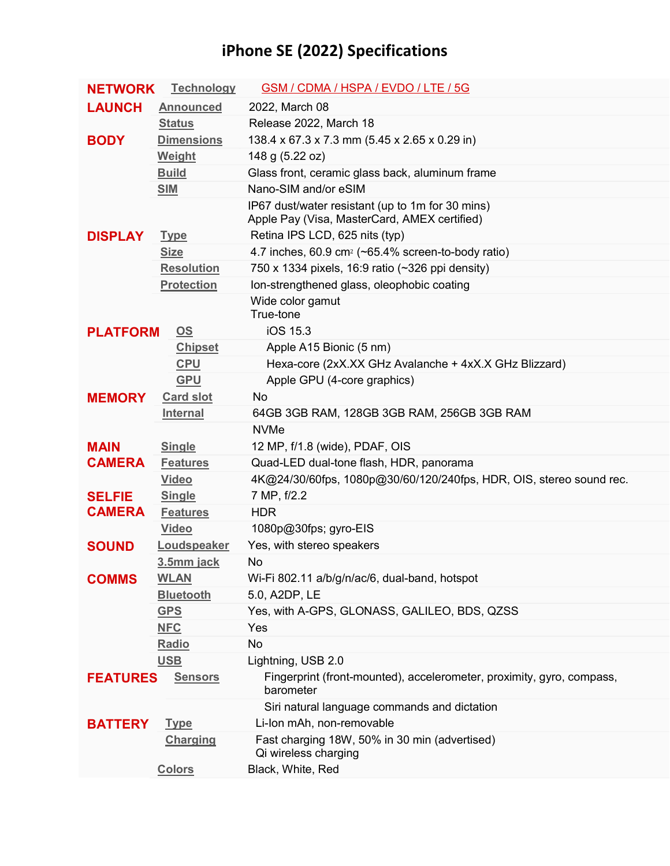## **iPhone SE (2022) Specifications**

| <b>NETWORK</b>                    | <b>Technology</b> | <b>GSM / CDMA / HSPA / EVDO / LTE / 5G</b>                                         |
|-----------------------------------|-------------------|------------------------------------------------------------------------------------|
| <b>LAUNCH</b>                     | <b>Announced</b>  | 2022, March 08                                                                     |
|                                   | <b>Status</b>     | Release 2022, March 18                                                             |
| <b>BODY</b>                       | <b>Dimensions</b> | 138.4 x 67.3 x 7.3 mm (5.45 x 2.65 x 0.29 in)                                      |
|                                   | <b>Weight</b>     | 148 g (5.22 oz)                                                                    |
|                                   | <b>Build</b>      | Glass front, ceramic glass back, aluminum frame                                    |
|                                   | <b>SIM</b>        | Nano-SIM and/or eSIM                                                               |
|                                   |                   | IP67 dust/water resistant (up to 1m for 30 mins)                                   |
|                                   |                   | Apple Pay (Visa, MasterCard, AMEX certified)                                       |
| <b>DISPLAY</b>                    | <b>Type</b>       | Retina IPS LCD, 625 nits (typ)                                                     |
|                                   | <b>Size</b>       | 4.7 inches, 60.9 cm <sup>2</sup> ( $\sim$ 65.4% screen-to-body ratio)              |
|                                   | <b>Resolution</b> | 750 x 1334 pixels, 16:9 ratio (~326 ppi density)                                   |
|                                   | <b>Protection</b> | Ion-strengthened glass, oleophobic coating                                         |
|                                   |                   | Wide color gamut<br>True-tone                                                      |
| <b>PLATFORM</b>                   | OS                | iOS 15.3                                                                           |
|                                   | <b>Chipset</b>    | Apple A15 Bionic (5 nm)                                                            |
|                                   | <b>CPU</b>        | Hexa-core (2xX.XX GHz Avalanche + 4xX.X GHz Blizzard)                              |
|                                   | <b>GPU</b>        | Apple GPU (4-core graphics)                                                        |
| <b>MEMORY</b>                     | <b>Card slot</b>  | <b>No</b>                                                                          |
|                                   | <b>Internal</b>   | 64GB 3GB RAM, 128GB 3GB RAM, 256GB 3GB RAM                                         |
|                                   |                   | <b>NVMe</b>                                                                        |
| <b>MAIN</b>                       | <b>Single</b>     | 12 MP, f/1.8 (wide), PDAF, OIS                                                     |
| <b>CAMERA</b>                     | <b>Features</b>   | Quad-LED dual-tone flash, HDR, panorama                                            |
|                                   | <b>Video</b>      | 4K@24/30/60fps, 1080p@30/60/120/240fps, HDR, OIS, stereo sound rec.                |
| <b>SELFIE</b>                     | <b>Single</b>     | 7 MP, f/2.2                                                                        |
| <b>CAMERA</b>                     | <b>Features</b>   | <b>HDR</b>                                                                         |
|                                   | <b>Video</b>      | 1080p@30fps; gyro-EIS                                                              |
| <b>SOUND</b>                      | Loudspeaker       | Yes, with stereo speakers                                                          |
|                                   | 3.5mm jack        | No                                                                                 |
| <b>COMMS</b>                      | <b>WLAN</b>       | Wi-Fi 802.11 a/b/g/n/ac/6, dual-band, hotspot                                      |
|                                   | <b>Bluetooth</b>  | 5.0, A2DP, LE                                                                      |
|                                   | <b>GPS</b>        | Yes, with A-GPS, GLONASS, GALILEO, BDS, QZSS                                       |
|                                   | <b>NFC</b>        | Yes                                                                                |
|                                   | <b>Radio</b>      | No                                                                                 |
|                                   | <b>USB</b>        | Lightning, USB 2.0                                                                 |
| <b>FEATURES</b><br><b>Sensors</b> |                   | Fingerprint (front-mounted), accelerometer, proximity, gyro, compass,<br>barometer |
|                                   |                   | Siri natural language commands and dictation                                       |
| <b>BATTERY</b>                    | <b>Type</b>       | Li-Ion mAh, non-removable                                                          |
|                                   | <b>Charging</b>   | Fast charging 18W, 50% in 30 min (advertised)                                      |
|                                   |                   | Qi wireless charging                                                               |
|                                   | <b>Colors</b>     | Black, White, Red                                                                  |